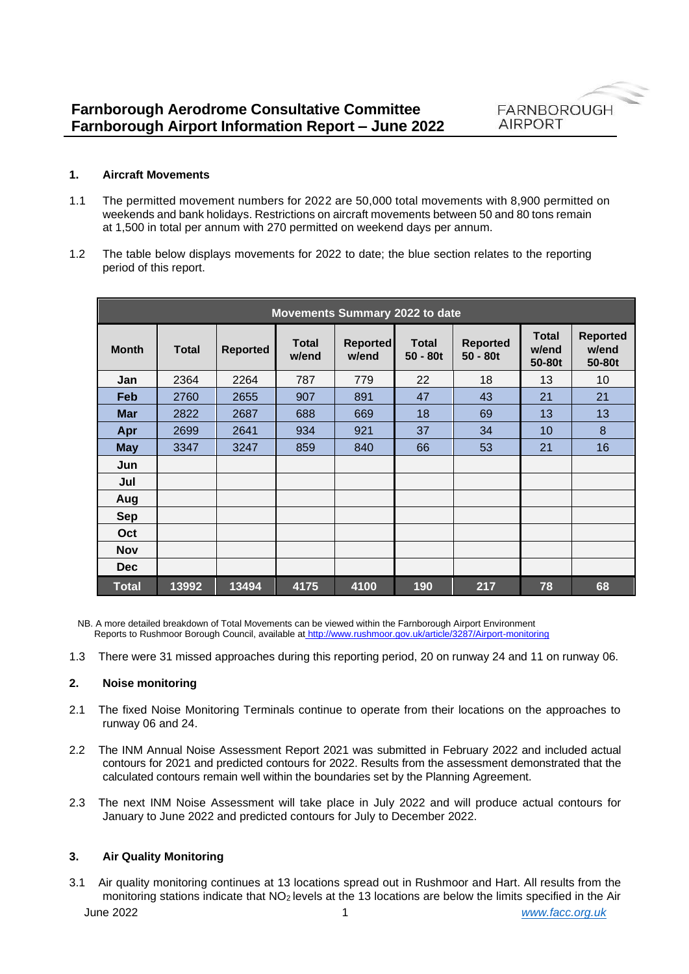

### **1. Aircraft Movements**

- 1.1 The permitted movement numbers for 2022 are 50,000 total movements with 8,900 permitted on weekends and bank holidays. Restrictions on aircraft movements between 50 and 80 tons remain at 1,500 in total per annum with 270 permitted on weekend days per annum.
- 1.2 The table below displays movements for 2022 to date; the blue section relates to the reporting period of this report.

| Movements Summary 2022 to date |              |                 |                       |                          |                            |                               |                                 |                                    |
|--------------------------------|--------------|-----------------|-----------------------|--------------------------|----------------------------|-------------------------------|---------------------------------|------------------------------------|
| <b>Month</b>                   | <b>Total</b> | <b>Reported</b> | <b>Total</b><br>w/end | <b>Reported</b><br>w/end | <b>Total</b><br>$50 - 80t$ | <b>Reported</b><br>$50 - 80t$ | <b>Total</b><br>w/end<br>50-80t | <b>Reported</b><br>w/end<br>50-80t |
| Jan                            | 2364         | 2264            | 787                   | 779                      | 22                         | 18                            | 13                              | 10                                 |
| Feb                            | 2760         | 2655            | 907                   | 891                      | 47                         | 43                            | 21                              | 21                                 |
| <b>Mar</b>                     | 2822         | 2687            | 688                   | 669                      | 18                         | 69                            | 13                              | 13                                 |
| Apr                            | 2699         | 2641            | 934                   | 921                      | 37                         | 34                            | 10                              | 8                                  |
| <b>May</b>                     | 3347         | 3247            | 859                   | 840                      | 66                         | 53                            | 21                              | 16                                 |
| Jun                            |              |                 |                       |                          |                            |                               |                                 |                                    |
| Jul                            |              |                 |                       |                          |                            |                               |                                 |                                    |
| Aug                            |              |                 |                       |                          |                            |                               |                                 |                                    |
| <b>Sep</b>                     |              |                 |                       |                          |                            |                               |                                 |                                    |
| Oct                            |              |                 |                       |                          |                            |                               |                                 |                                    |
| <b>Nov</b>                     |              |                 |                       |                          |                            |                               |                                 |                                    |
| <b>Dec</b>                     |              |                 |                       |                          |                            |                               |                                 |                                    |
| <b>Total</b>                   | 13992        | 13494           | 4175                  | 4100                     | 190                        | 217                           | 78                              | 68                                 |

NB. A more detailed breakdown of Total Movements can be viewed within the Farnborough Airport Environment Reports to Rushmoor Borough Council, available at <http://www.rushmoor.gov.uk/article/3287/Airport-monitoring>

1.3 There were 31 missed approaches during this reporting period, 20 on runway 24 and 11 on runway 06.

# **2. Noise monitoring**

- 2.1 The fixed Noise Monitoring Terminals continue to operate from their locations on the approaches to runway 06 and 24.
- 2.2 The INM Annual Noise Assessment Report 2021 was submitted in February 2022 and included actual contours for 2021 and predicted contours for 2022. Results from the assessment demonstrated that the calculated contours remain well within the boundaries set by the Planning Agreement.
- 2.3 The next INM Noise Assessment will take place in July 2022 and will produce actual contours for January to June 2022 and predicted contours for July to December 2022.

# **3. Air Quality Monitoring**

June 2022 1 *[www.facc.org.uk](http://www.facc.org.uk/)* 3.1 Air quality monitoring continues at 13 locations spread out in Rushmoor and Hart. All results from the monitoring stations indicate that NO<sub>2</sub> levels at the 13 locations are below the limits specified in the Air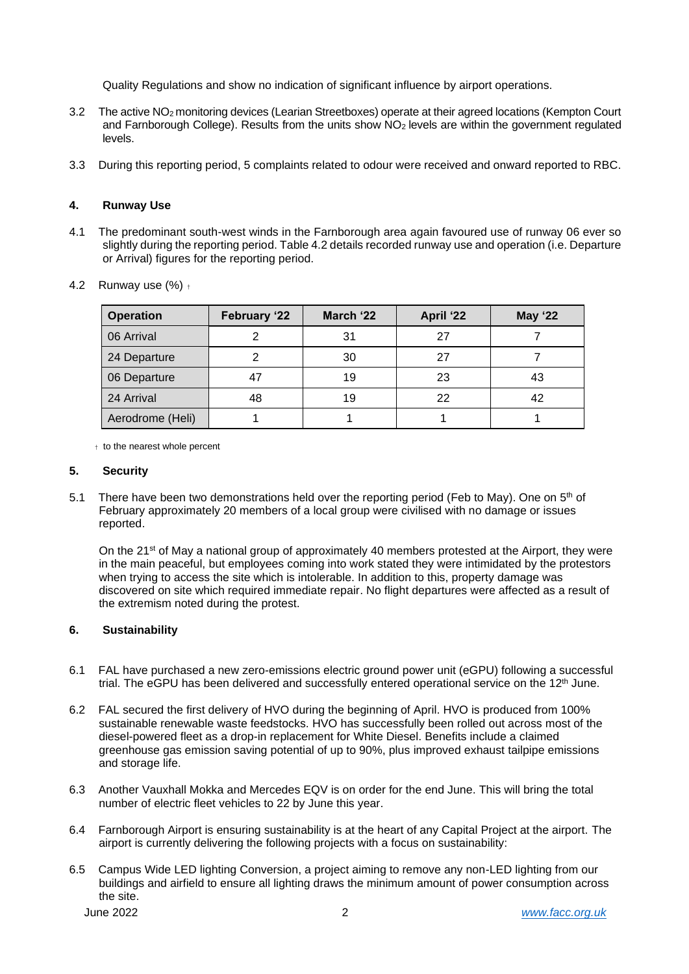Quality Regulations and show no indication of significant influence by airport operations.

- 3.2 The active NO<sup>2</sup> monitoring devices (Learian Streetboxes) operate at their agreed locations (Kempton Court and Farnborough College). Results from the units show NO<sup>2</sup> levels are within the government regulated levels.
- 3.3 During this reporting period, 5 complaints related to odour were received and onward reported to RBC.

### **4. Runway Use**

4.1 The predominant south-west winds in the Farnborough area again favoured use of runway 06 ever so slightly during the reporting period. Table 4.2 details recorded runway use and operation (i.e. Departure or Arrival) figures for the reporting period.

| <b>Operation</b> | February '22 | March '22 | April '22 | <b>May '22</b> |
|------------------|--------------|-----------|-----------|----------------|
| 06 Arrival       |              | 31        | 27        |                |
| 24 Departure     |              | 30        | 27        |                |
| 06 Departure     | 47           | 19        | 23        | 43             |
| 24 Arrival       | 48           | 19        | 22        | 42             |
| Aerodrome (Heli) |              |           |           |                |

4.2 Runway use  $(\%)$  +

† to the nearest whole percent

#### **5. Security**

5.1 There have been two demonstrations held over the reporting period (Feb to May). One on  $5<sup>th</sup>$  of February approximately 20 members of a local group were civilised with no damage or issues reported.

On the 21<sup>st</sup> of May a national group of approximately 40 members protested at the Airport, they were in the main peaceful, but employees coming into work stated they were intimidated by the protestors when trying to access the site which is intolerable. In addition to this, property damage was discovered on site which required immediate repair. No flight departures were affected as a result of the extremism noted during the protest.

# **6. Sustainability**

- 6.1 FAL have purchased a new zero-emissions electric ground power unit (eGPU) following a successful trial. The eGPU has been delivered and successfully entered operational service on the  $12<sup>th</sup>$  June.
- 6.2 FAL secured the first delivery of HVO during the beginning of April. HVO is produced from 100% sustainable renewable waste feedstocks. HVO has successfully been rolled out across most of the diesel-powered fleet as a drop-in replacement for White Diesel. Benefits include a claimed greenhouse gas emission saving potential of up to 90%, plus improved exhaust tailpipe emissions and storage life.
- 6.3 Another Vauxhall Mokka and Mercedes EQV is on order for the end June. This will bring the total number of electric fleet vehicles to 22 by June this year.
- 6.4 Farnborough Airport is ensuring sustainability is at the heart of any Capital Project at the airport. The airport is currently delivering the following projects with a focus on sustainability:
- 6.5 Campus Wide LED lighting Conversion, a project aiming to remove any non-LED lighting from our buildings and airfield to ensure all lighting draws the minimum amount of power consumption across the site.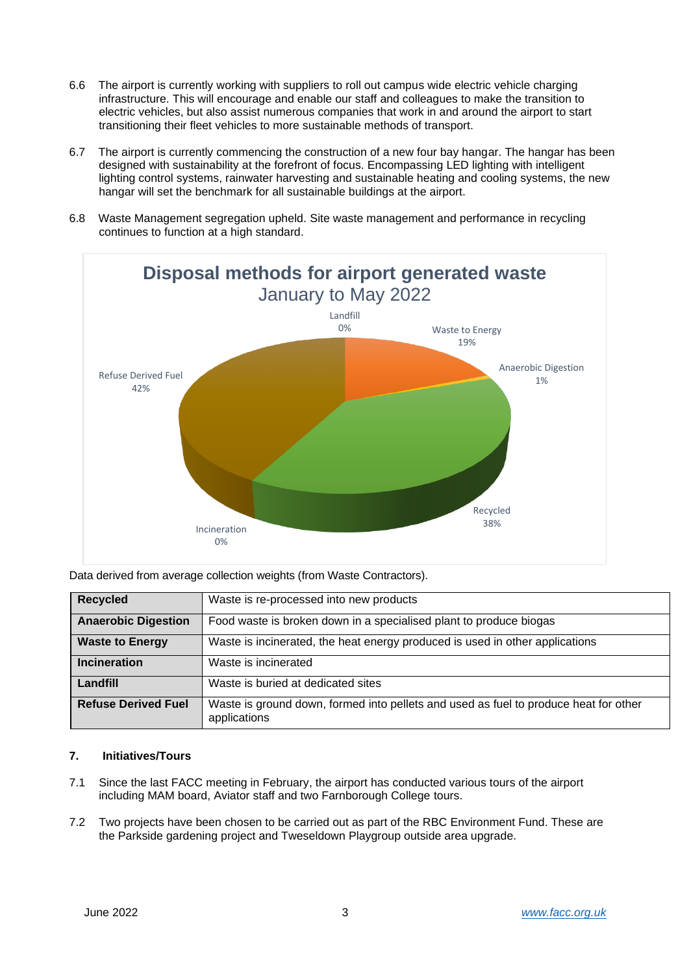- 6.6 The airport is currently working with suppliers to roll out campus wide electric vehicle charging infrastructure. This will encourage and enable our staff and colleagues to make the transition to electric vehicles, but also assist numerous companies that work in and around the airport to start transitioning their fleet vehicles to more sustainable methods of transport.
- 6.7 The airport is currently commencing the construction of a new four bay hangar. The hangar has been designed with sustainability at the forefront of focus. Encompassing LED lighting with intelligent lighting control systems, rainwater harvesting and sustainable heating and cooling systems, the new hangar will set the benchmark for all sustainable buildings at the airport.
- 6.8 Waste Management segregation upheld. Site waste management and performance in recycling continues to function at a high standard.



Data derived from average collection weights (from Waste Contractors).

| <b>Recycled</b>            | Waste is re-processed into new products                                                              |
|----------------------------|------------------------------------------------------------------------------------------------------|
| <b>Anaerobic Digestion</b> | Food waste is broken down in a specialised plant to produce biogas                                   |
| <b>Waste to Energy</b>     | Waste is incinerated, the heat energy produced is used in other applications                         |
| <b>Incineration</b>        | Waste is incinerated                                                                                 |
| Landfill                   | Waste is buried at dedicated sites                                                                   |
| <b>Refuse Derived Fuel</b> | Waste is ground down, formed into pellets and used as fuel to produce heat for other<br>applications |

# **7. Initiatives/Tours**

- 7.1 Since the last FACC meeting in February, the airport has conducted various tours of the airport including MAM board, Aviator staff and two Farnborough College tours.
- 7.2 Two projects have been chosen to be carried out as part of the RBC Environment Fund. These are the Parkside gardening project and Tweseldown Playgroup outside area upgrade.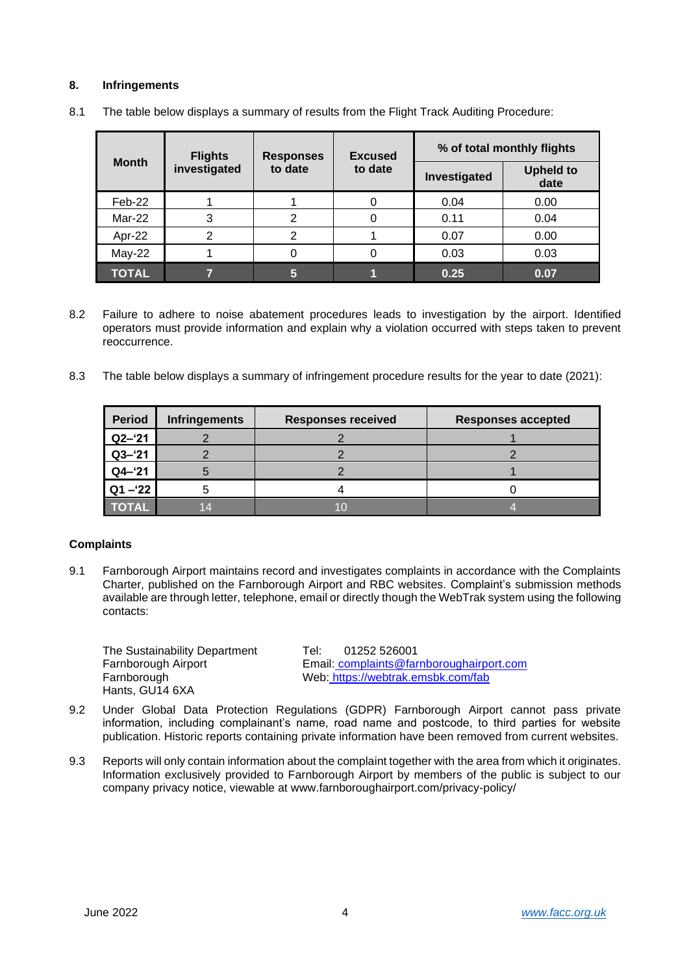# **8. Infringements**

|              | <b>Flights</b> | <b>Responses</b> | <b>Excused</b> | % of total monthly flights |                          |  |
|--------------|----------------|------------------|----------------|----------------------------|--------------------------|--|
| <b>Month</b> | investigated   | to date          | to date        | Investigated               | <b>Upheld to</b><br>date |  |
| Feb-22       |                |                  |                | 0.04                       | 0.00                     |  |
| Mar-22       | 3              | າ                |                | 0.11                       | 0.04                     |  |
| Apr-22       | 2              | 2                |                | 0.07                       | 0.00                     |  |
| $May-22$     |                |                  |                | 0.03                       | 0.03                     |  |
| <b>TOTAL</b> |                | 5                |                | 0.25                       | 0.07                     |  |

8.1 The table below displays a summary of results from the Flight Track Auditing Procedure:

- 8.2 Failure to adhere to noise abatement procedures leads to investigation by the airport. Identified operators must provide information and explain why a violation occurred with steps taken to prevent reoccurrence.
- 8.3 The table below displays a summary of infringement procedure results for the year to date (2021):

| <b>Period</b> | <b>Infringements</b> | <b>Responses received</b> | Responses accepted |
|---------------|----------------------|---------------------------|--------------------|
| $Q2 - 21$     |                      |                           |                    |
| $Q3 - 21$     |                      |                           |                    |
| $Q4 - 21$     |                      |                           |                    |
| $Q1 - 22$     |                      |                           |                    |
| <b>TOTAL</b>  |                      |                           |                    |

# **Complaints**

9.1 Farnborough Airport maintains record and investigates complaints in accordance with the Complaints Charter, published on the Farnborough Airport and RBC websites. Complaint's submission methods available are through letter, telephone, email or directly though the WebTrak system using the following contacts:

The Sustainability Department<br>
Farnborough Airport<br>
Email: complaints@far Hants, GU14 6XA

Email: complaints@farnboroughairport.com Farnborough Web: <https://webtrak.emsbk.com/fab>

- 9.2 Under Global Data Protection Regulations (GDPR) Farnborough Airport cannot pass private information, including complainant's name, road name and postcode, to third parties for website publication. Historic reports containing private information have been removed from current websites.
- 9.3 Reports will only contain information about the complaint together with the area from which it originates. Information exclusively provided to Farnborough Airport by members of the public is subject to our company privacy notice, viewable at [www.farnboroughairport.com/privacy-policy/](http://www.farnboroughairport.com/privacy-policy/)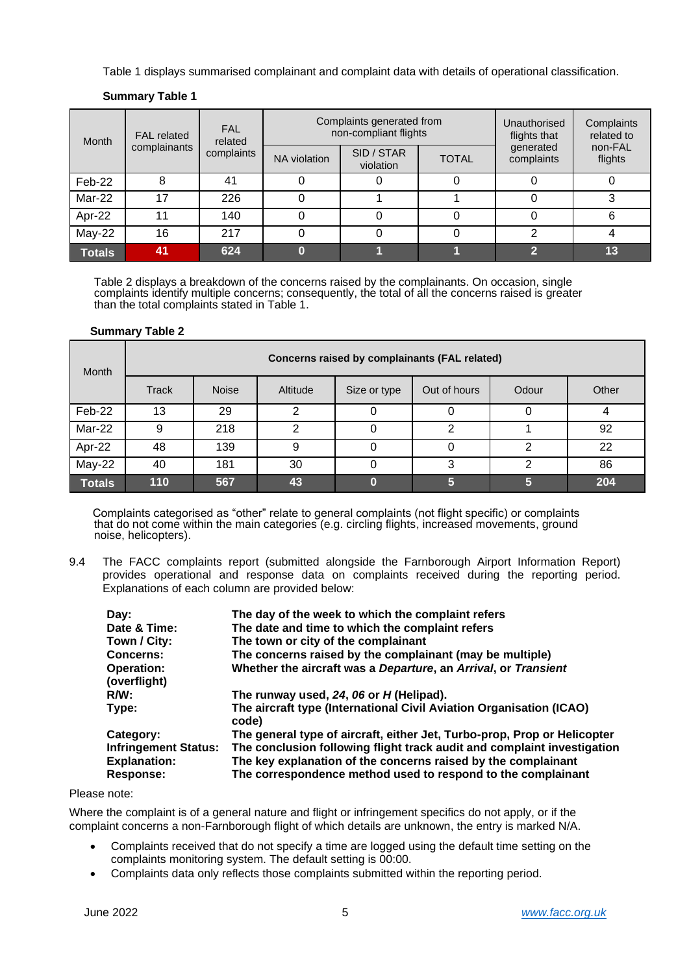Table 1 displays summarised complainant and complaint data with details of operational classification.

| <b>FAL</b> related<br>Month<br>complainants |    | <b>FAL</b><br>related | Complaints generated from<br>non-compliant flights |                         |              | Unauthorised<br>flights that | Complaints<br>related to |
|---------------------------------------------|----|-----------------------|----------------------------------------------------|-------------------------|--------------|------------------------------|--------------------------|
|                                             |    | complaints            | NA violation                                       | SID / STAR<br>violation | <b>TOTAL</b> | generated<br>complaints      | non-FAL<br>flights       |
| Feb-22                                      | 8  | 41                    |                                                    |                         |              |                              |                          |
| Mar-22                                      | 17 | 226                   |                                                    |                         |              |                              |                          |
| Apr-22                                      | 1  | 140                   |                                                    |                         |              |                              | 6                        |
| May-22                                      | 16 | 217                   |                                                    |                         |              | າ                            |                          |
| <b>Totals</b>                               | 41 | 624                   |                                                    |                         |              | G                            | 13                       |

# **Summary Table 1**

Table 2 displays a breakdown of the concerns raised by the complainants. On occasion, single complaints identify multiple concerns; consequently, the total of all the concerns raised is greater than the total complaints stated in Table 1.

# **Summary Table 2**

| Month         | Concerns raised by complainants (FAL related) |              |          |              |              |       |       |
|---------------|-----------------------------------------------|--------------|----------|--------------|--------------|-------|-------|
|               | Track                                         | <b>Noise</b> | Altitude | Size or type | Out of hours | Odour | Other |
| Feb-22        | 13                                            | 29           |          |              |              | O     | 4     |
| Mar-22        | 9                                             | 218          | ົ        |              | 2            |       | 92    |
| Apr-22        | 48                                            | 139          |          |              |              |       | 22    |
| $May-22$      | 40                                            | 181          | 30       |              | 3            | 2     | 86    |
| <b>Totals</b> | 110                                           | 567          | 43       |              | 5            | 5     | 204   |

Complaints categorised as "other" relate to general complaints (not flight specific) or complaints that do not come within the main categories (e.g. circling flights, increased movements, ground noise, helicopters).

9.4 The FACC complaints report (submitted alongside the Farnborough Airport Information Report) provides operational and response data on complaints received during the reporting period. Explanations of each column are provided below:

| Day:                                                            | The day of the week to which the complaint refers                                                                                                                                                        |
|-----------------------------------------------------------------|----------------------------------------------------------------------------------------------------------------------------------------------------------------------------------------------------------|
| Date & Time:                                                    | The date and time to which the complaint refers                                                                                                                                                          |
| Town / City:                                                    | The town or city of the complainant                                                                                                                                                                      |
| <b>Concerns:</b>                                                | The concerns raised by the complainant (may be multiple)                                                                                                                                                 |
| <b>Operation:</b><br>(overflight)                               | Whether the aircraft was a Departure, an Arrival, or Transient                                                                                                                                           |
| $R/W$ :                                                         | The runway used, 24, 06 or H (Helipad).                                                                                                                                                                  |
| Type:                                                           | The aircraft type (International Civil Aviation Organisation (ICAO)<br>code)                                                                                                                             |
| Category:                                                       | The general type of aircraft, either Jet, Turbo-prop, Prop or Helicopter                                                                                                                                 |
| <b>Infringement Status:</b><br><b>Explanation:</b><br>Response: | The conclusion following flight track audit and complaint investigation<br>The key explanation of the concerns raised by the complainant<br>The correspondence method used to respond to the complainant |

# Please note:

Where the complaint is of a general nature and flight or infringement specifics do not apply, or if the complaint concerns a non-Farnborough flight of which details are unknown, the entry is marked N/A.

- Complaints received that do not specify a time are logged using the default time setting on the complaints monitoring system. The default setting is 00:00.
- Complaints data only reflects those complaints submitted within the reporting period.